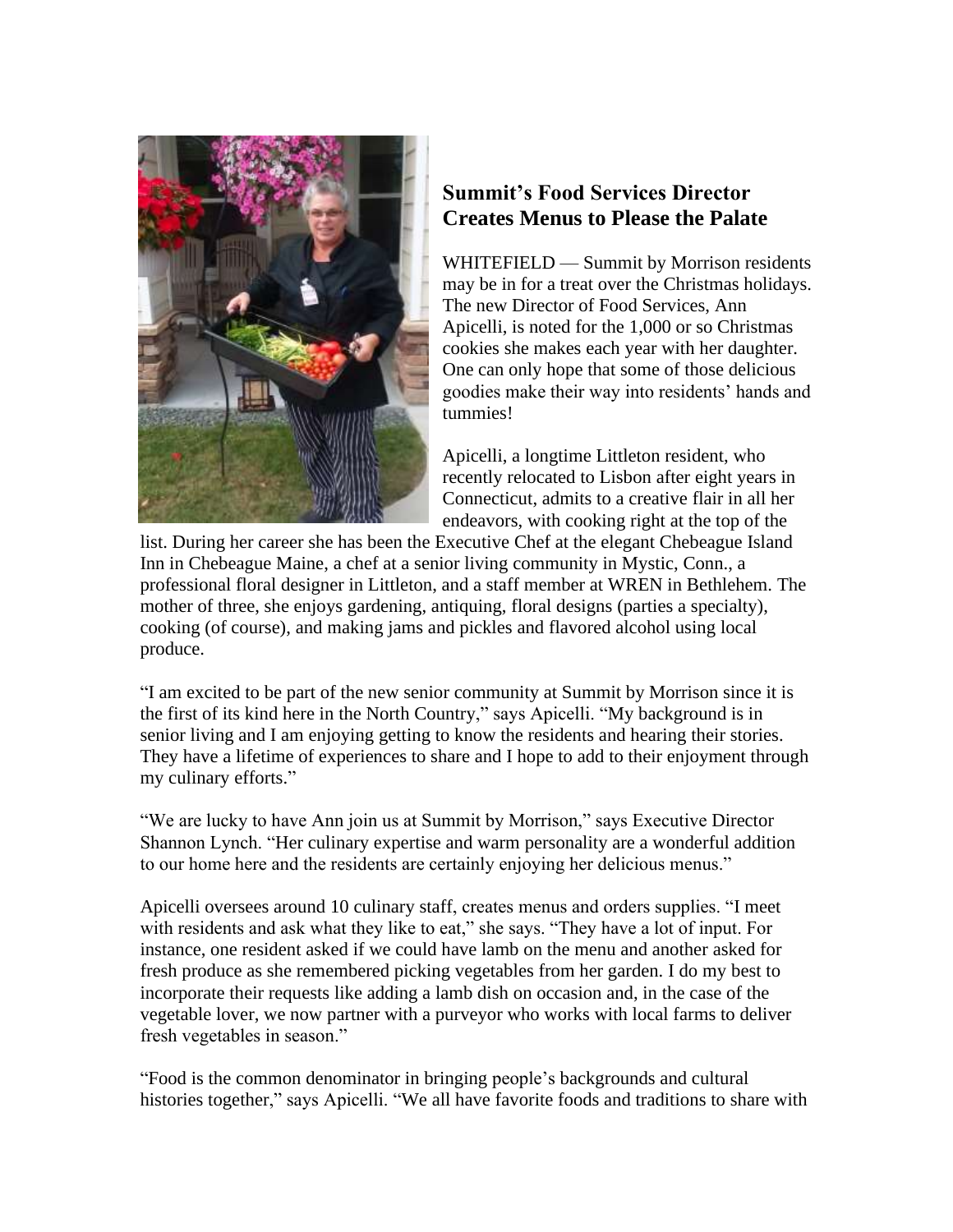

## **Summit's Food Services Director Creates Menus to Please the Palate**

WHITEFIELD — Summit by Morrison residents may be in for a treat over the Christmas holidays. The new Director of Food Services, Ann Apicelli, is noted for the 1,000 or so Christmas cookies she makes each year with her daughter. One can only hope that some of those delicious goodies make their way into residents' hands and tummies!

Apicelli, a longtime Littleton resident, who recently relocated to Lisbon after eight years in Connecticut, admits to a creative flair in all her endeavors, with cooking right at the top of the

list. During her career she has been the Executive Chef at the elegant Chebeague Island Inn in Chebeague Maine, a chef at a senior living community in Mystic, Conn., a professional floral designer in Littleton, and a staff member at WREN in Bethlehem. The mother of three, she enjoys gardening, antiquing, floral designs (parties a specialty), cooking (of course), and making jams and pickles and flavored alcohol using local produce.

"I am excited to be part of the new senior community at Summit by Morrison since it is the first of its kind here in the North Country," says Apicelli. "My background is in senior living and I am enjoying getting to know the residents and hearing their stories. They have a lifetime of experiences to share and I hope to add to their enjoyment through my culinary efforts."

"We are lucky to have Ann join us at Summit by Morrison," says Executive Director Shannon Lynch. "Her culinary expertise and warm personality are a wonderful addition to our home here and the residents are certainly enjoying her delicious menus."

Apicelli oversees around 10 culinary staff, creates menus and orders supplies. "I meet with residents and ask what they like to eat," she says. "They have a lot of input. For instance, one resident asked if we could have lamb on the menu and another asked for fresh produce as she remembered picking vegetables from her garden. I do my best to incorporate their requests like adding a lamb dish on occasion and, in the case of the vegetable lover, we now partner with a purveyor who works with local farms to deliver fresh vegetables in season."

"Food is the common denominator in bringing people's backgrounds and cultural histories together," says Apicelli. "We all have favorite foods and traditions to share with